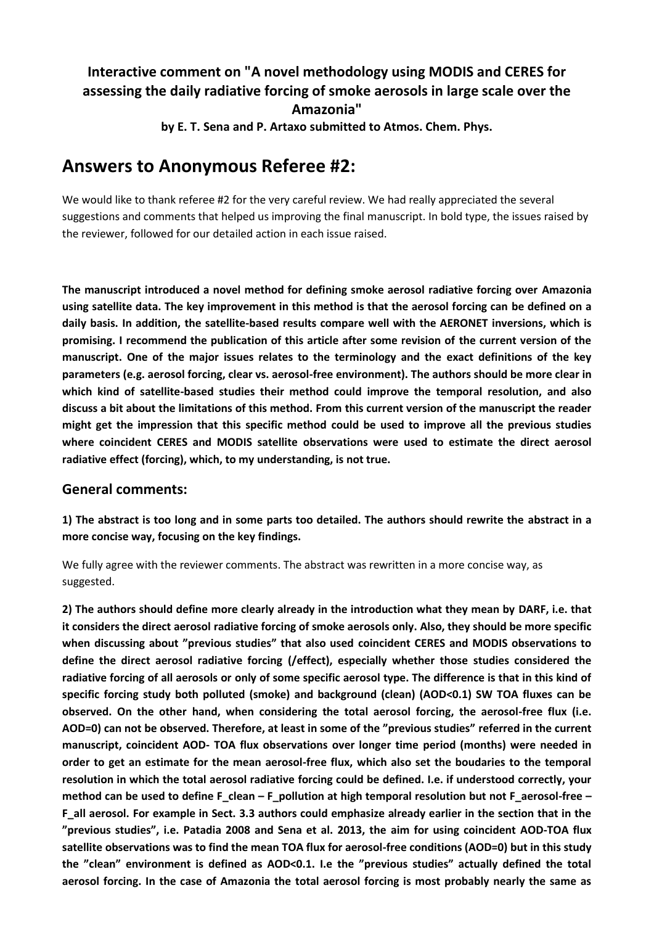## **Interactive comment on "A novel methodology using MODIS and CERES for assessing the daily radiative forcing of smoke aerosols in large scale over the Amazonia"**

**by E. T. Sena and P. Artaxo submitted to Atmos. Chem. Phys.**

# **Answers to Anonymous Referee #2:**

We would like to thank referee #2 for the very careful review. We had really appreciated the several suggestions and comments that helped us improving the final manuscript. In bold type, the issues raised by the reviewer, followed for our detailed action in each issue raised.

**The manuscript introduced a novel method for defining smoke aerosol radiative forcing over Amazonia using satellite data. The key improvement in this method is that the aerosol forcing can be defined on a daily basis. In addition, the satellite-based results compare well with the AERONET inversions, which is promising. I recommend the publication of this article after some revision of the current version of the manuscript. One of the major issues relates to the terminology and the exact definitions of the key parameters (e.g. aerosol forcing, clear vs. aerosol-free environment). The authors should be more clear in which kind of satellite-based studies their method could improve the temporal resolution, and also discuss a bit about the limitations of this method. From this current version of the manuscript the reader might get the impression that this specific method could be used to improve all the previous studies where coincident CERES and MODIS satellite observations were used to estimate the direct aerosol radiative effect (forcing), which, to my understanding, is not true.**

#### **General comments:**

**1) The abstract is too long and in some parts too detailed. The authors should rewrite the abstract in a more concise way, focusing on the key findings.**

We fully agree with the reviewer comments. The abstract was rewritten in a more concise way, as suggested.

**2) The authors should define more clearly already in the introduction what they mean by DARF, i.e. that it considers the direct aerosol radiative forcing of smoke aerosols only. Also, they should be more specific when discussing about "previous studies" that also used coincident CERES and MODIS observations to define the direct aerosol radiative forcing (/effect), especially whether those studies considered the radiative forcing of all aerosols or only of some specific aerosol type. The difference is that in this kind of specific forcing study both polluted (smoke) and background (clean) (AOD<0.1) SW TOA fluxes can be observed. On the other hand, when considering the total aerosol forcing, the aerosol-free flux (i.e. AOD=0) can not be observed. Therefore, at least in some of the "previous studies" referred in the current manuscript, coincident AOD- TOA flux observations over longer time period (months) were needed in order to get an estimate for the mean aerosol-free flux, which also set the boudaries to the temporal resolution in which the total aerosol radiative forcing could be defined. I.e. if understood correctly, your method can be used to define F\_clean – F\_pollution at high temporal resolution but not F\_aerosol-free – F\_all aerosol. For example in Sect. 3.3 authors could emphasize already earlier in the section that in the "previous studies", i.e. Patadia 2008 and Sena et al. 2013, the aim for using coincident AOD-TOA flux satellite observations was to find the mean TOA flux for aerosol-free conditions (AOD=0) but in this study the "clean" environment is defined as AOD<0.1. I.e the "previous studies" actually defined the total aerosol forcing. In the case of Amazonia the total aerosol forcing is most probably nearly the same as**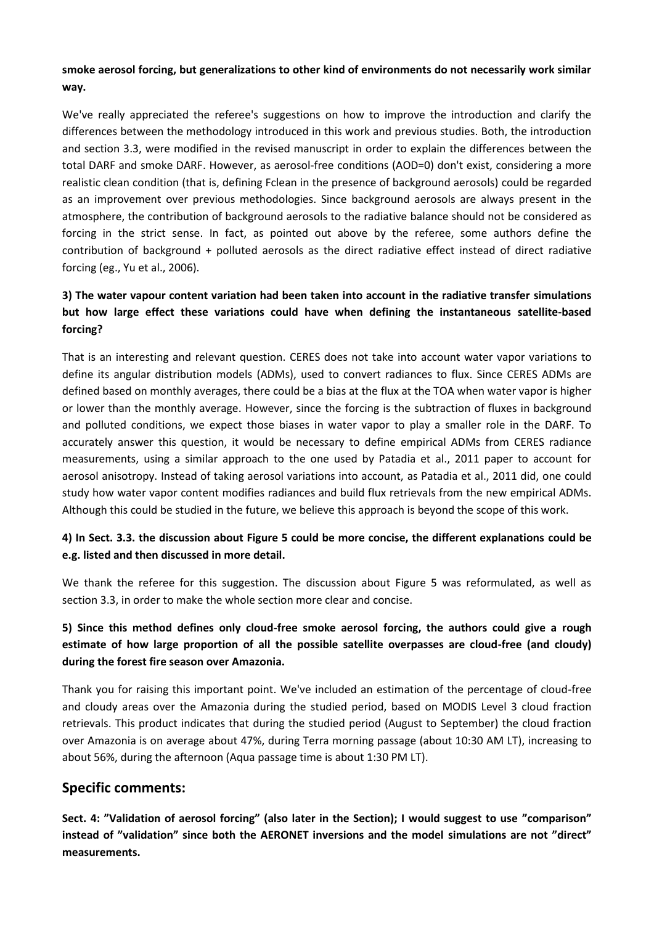#### **smoke aerosol forcing, but generalizations to other kind of environments do not necessarily work similar way.**

We've really appreciated the referee's suggestions on how to improve the introduction and clarify the differences between the methodology introduced in this work and previous studies. Both, the introduction and section 3.3, were modified in the revised manuscript in order to explain the differences between the total DARF and smoke DARF. However, as aerosol-free conditions (AOD=0) don't exist, considering a more realistic clean condition (that is, defining Fclean in the presence of background aerosols) could be regarded as an improvement over previous methodologies. Since background aerosols are always present in the atmosphere, the contribution of background aerosols to the radiative balance should not be considered as forcing in the strict sense. In fact, as pointed out above by the referee, some authors define the contribution of background + polluted aerosols as the direct radiative effect instead of direct radiative forcing (eg., Yu et al., 2006).

## **3) The water vapour content variation had been taken into account in the radiative transfer simulations but how large effect these variations could have when defining the instantaneous satellite-based forcing?**

That is an interesting and relevant question. CERES does not take into account water vapor variations to define its angular distribution models (ADMs), used to convert radiances to flux. Since CERES ADMs are defined based on monthly averages, there could be a bias at the flux at the TOA when water vapor is higher or lower than the monthly average. However, since the forcing is the subtraction of fluxes in background and polluted conditions, we expect those biases in water vapor to play a smaller role in the DARF. To accurately answer this question, it would be necessary to define empirical ADMs from CERES radiance measurements, using a similar approach to the one used by Patadia et al., 2011 paper to account for aerosol anisotropy. Instead of taking aerosol variations into account, as Patadia et al., 2011 did, one could study how water vapor content modifies radiances and build flux retrievals from the new empirical ADMs. Although this could be studied in the future, we believe this approach is beyond the scope of this work.

#### **4) In Sect. 3.3. the discussion about Figure 5 could be more concise, the different explanations could be e.g. listed and then discussed in more detail.**

We thank the referee for this suggestion. The discussion about Figure 5 was reformulated, as well as section 3.3, in order to make the whole section more clear and concise.

### **5) Since this method defines only cloud-free smoke aerosol forcing, the authors could give a rough estimate of how large proportion of all the possible satellite overpasses are cloud-free (and cloudy) during the forest fire season over Amazonia.**

Thank you for raising this important point. We've included an estimation of the percentage of cloud-free and cloudy areas over the Amazonia during the studied period, based on MODIS Level 3 cloud fraction retrievals. This product indicates that during the studied period (August to September) the cloud fraction over Amazonia is on average about 47%, during Terra morning passage (about 10:30 AM LT), increasing to about 56%, during the afternoon (Aqua passage time is about 1:30 PM LT).

## **Specific comments:**

**Sect. 4: "Validation of aerosol forcing" (also later in the Section); I would suggest to use "comparison" instead of "validation" since both the AERONET inversions and the model simulations are not "direct" measurements.**